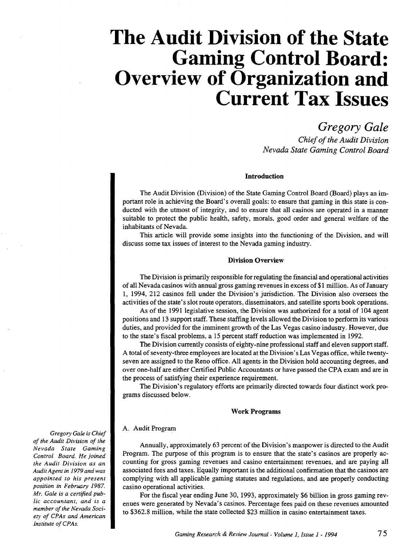# **The Audit Division of the State Gaming Control Board: Overview of Organization and Current Tax Issues**

*Gregory Gale* 

*Chief of the Audit Division Nevada State Gaming Control Board* 

# **Introduction**

The Audit Division (Division) of the State Gaming Control Board (Board) plays an important role in achieving the Board's overall goals: to ensure that gaming in this state is conducted with the utmost of integrity, and to ensure that all casinos are operated in a manner suitable to protect the public health, safety, morals, good order and general welfare of the inhabitants of Nevada.

This article will provide some insights into the functioning of the Division, and will discuss some tax issues of interest to the Nevada gaming industry.

# **Division Overview**

The Division is primarily responsible for regulating the financial and operational activities of all Nevada casinos with annual gross gaming revenues in excess of **\$1** million. As ofJ anuary 1, 1994, 212 casinos fell under the Division's jurisdiction. The Division also oversees the activities of the state's slot route operators, disseminators, and satellite sports book operations.

As of the 1991 legislative session, the Division was authorized for a total of 104 agent positions and 13 support staff. These staffing levels allowed the Division to perform its various duties, and provided for the imminent growth of the Las Vegas casino industry. However, due to the state's fiscal problems, a 15 percent staff reduction was implemented in 1992.

The Division currently consists of eighty-nine professional staff and eleven support staff. A total of seventy-three employees are located at the Division's Las Vegas office, while twentyseven are assigned to the Reno office. All agents in the Division hold accounting degrees, and over one-half are either Certified Public Accountants or have passed the CPA exam and are in the process of satisfying their experience requirement.

The Division's regulatory efforts are primarily directed towards four distinct work programs discussed below.

#### **Work Programs**

# A. Audit Program

Annually, approximately 63 percent of the Division's manpower is directed to the Audit Program. The purpose of this program is to ensure that the state's casinos are properly accounting for gross gaming revenues and casino entertainment revenues, and are paying all associated fees and taxes. Equally important is the additional confirmation that the casinos are complying with all applicable gaming statutes and regulations, and are properly conducting casino operational activities.

For the fiscal year ending June 30, 1993, approximately \$6 billion in gross gaming revenues were generated by Nevada's casinos. Percentage fees paid on these revenues amounted to \$362.8 million, while the state collected \$23 million in casino entertainment taxes.

*Gregory Gale is Chief of the Audit Division of the Nevada State Gaming Control Board. He joined the Audit Division as an Audit Agent in I979* and *was appointed to his present position in February I987. Mr. Gale is a cenified public accountant, and is a member of the Nevada Society of CPAs and American*  **Institute of CPAs.**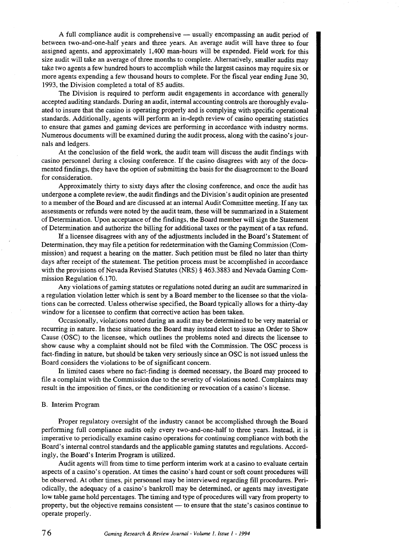A full compliance audit is comprehensive — usually encompassing an audit period of between two-and-one-half years and three years. An average audit will have three to four assigned agents, and approximately 1,400 man-hours will be expended. Field work for this size audit will take an average of three months to complete. Alternatively, smaller audits may take two agents a few hundred hours to accomplish while the largest casinos may require six or more agents expending a few thousand hours to complete. For the fiscal year ending June 30, 1993, the Division completed a total of 85 audits.

The Division is required to perform audit engagements in accordance with generally accepted auditing standards. During an audit, internal accounting controls are thoroughly evaluated to insure that the casino is operating properly and is complying with specific operational standards. Additionally, agents will perform an in-depth review of casino operating statistics to ensure that games and gaming devices are performing in accordance with industry norms. Numerous documents will be examined during the audit process, along with the casino's journals and ledgers.

At the conclusion of the field work, the audit team will discuss the audit findings with casino personnel during a closing conference. If the casino disagrees with any of the documented findings, they have the option of submitting the basis for the disagreement to the Board for consideration.

Approximately thirty to sixty days after the closing conference, and once the audit has undergone a complete review, the audit findings and the Division's audit opinion are presented to a member of the Board and are discussed at an internal Audit Committee meeting. If any tax assessments or refunds were noted by the audit team, these will be summarized in a Statement of Determination. Upon acceptance of the findings, the Board member will sign the Statement of Determination and authorize the billing for additional taxes or the payment of a tax refund.

If a licensee disagrees with any of the adjustments included in the Board's Statement of Determination, they may file a petition for redetermination with the Gaming Commission (Commission) and request a hearing on the matter. Such petition must be filed no later than thirty days after receipt of the statement. The petition process must be accomplished in accordance with the provisions of Nevada Revised Statutes (NRS) § 463.3883 and Nevada Gaming Commission Regulation 6.170.

Any violations of gaming statutes or regulations noted during an audit are summarized in a regulation violation letter which is sent by a Board member to the licensee so that the violations can be corrected. Unless otherwise specified, the Board typically allows for a thirty-day window for a licensee to confirm that corrective action has been taken.

Occasionally, violations noted during an audit may be determined to be very material or recurring in nature. In these situations the Board may instead elect to issue an Order to Show Cause (OSC) to the licensee, which outlines the problems noted and directs the licensee to show cause why a complaint should not be filed with the Commission. The OSC process is fact-finding in nature, but should be taken very seriously since an OSC is not issued unless the Board considers the violations to be of significant concern.

In limited cases where no fact-finding is deemed necessary, the Board may proceed to file a complaint with the Commission due to the severity of violations noted. Complaints may result in the imposition of fines, or the conditioning or revocation of a casino's license.

#### B. Interim Program

Proper regulatory oversight of the industry cannot be accomplished through the Board performing full compliance audits only every two-and-one-half to three years. Instead, it is imperative to periodically examine casino operations for continuing compliance with both the Board's internal control standards and the applicable gaming statutes and regulations. Accordingly, the Board's Interim Program is utilized.

Audit agents will from time to time perform interim work at a casino to evaluate certain aspects of a casino's operation. At times the casino's hard count or soft count procedures will be observed. At other times, pit personnel may be interviewed regarding fill procedures. Periodically, the adequacy of a casino's bankroll may be determined, or agents may investigate low table game hold percentages. The timing and type of procedures will vary from property to property, but the objective remains consistent — to ensure that the state's casinos continue to operate properly.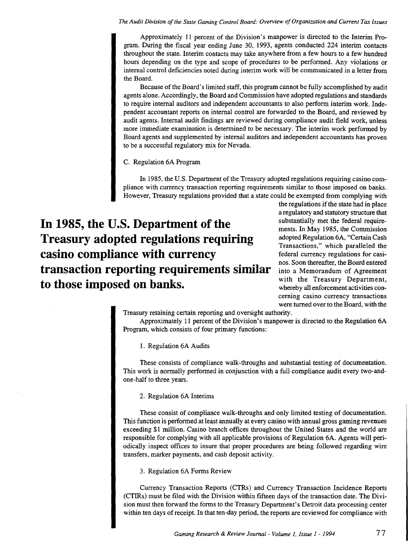*The Audit Division of the State Gaming Control Board: Overview of Organization and Current Tax Issues* 

Approximately II percent of the Division's manpower is directed to the Interim Program. During the fiscal year ending June 30, I993, agents conducted 224 interim contacts throughout the state. Interim contacts may take anywhere from a few hours to a few hundred hours depending on the type and scope of procedures to be performed. Any violations or internal control deficiencies noted during interim work will be communicated in a letter from the Board.

Because of the Board's limited staff, this program cannot be fully accomplished by audit agents alone. Accordingly, the Board and Commission have adopted regulations and standards to require internal auditors and independent accountants to also perform interim work. Independent accountant reports on internal control are forwarded to the Board, and reviewed by audit agents. Internal audit findings are reviewed during compliance audit field work, unless more immediate examination is determined to be necessary. The interim work performed by Board agents and supplemented by internal auditors and independent accountants has proven to be a successful regulatory mix for Nevada.

C. Regulation 6A Program

In 1985, the U.S. Department of the Treasury adopted regulations requiring casino compliance with currency transaction reporting requirements similar to those imposed on banks. However, Treasury regulations provided that a state could be exempted from complying with

**In 1985, the U.S. Department of the Treasury adopted regulations requiring casino compliance with currency transaction reporting requirements similar to those imposed on banks.** 

the regulations if the state had in place a regulatory and statutory structure that substantially met the federal requirements. In May I985, the Commission adopted Regulation 6A, "Certain Cash Transactions," which paralleled the federal currency regulations for casinos. Soon thereafter, the Board entered into a Memorandum of Agreement with the Treasury Department, whereby all enforcement activities concerning casino currency transactions were turned over to the Board, with the

Treasury retaining certain reporting and oversight authority.

Approximately II percent of the Division's manpower is directed to the Regulation 6A Program, which consists of four primary functions:

I. Regulation 6A Audits

These consists of compliance walk-throughs and substantial testing of documentation. This work is normally performed in conjunction with a full compliance audit every two-andone-half to three years.

# 2. Regulation 6A Interims

These consist of compliance walk-throughs and only limited testing of documentation. This function is performed at least annually at every casino with annual gross gaming revenues exceeding \$I million. Casino branch offices throughout the United States and the world are responsible for complying with all applicable provisions of Regulation 6A. Agents will periodically inspect offices to insure that proper procedures are being followed regarding wire transfers, marker payments, and cash deposit activity.

3. Regulation 6A Forms Review

Currency Transaction Reports (CTRs) and Currency Transaction Incidence Reports (CTIRs) must be filed with the Division within fifteen days of the transaction date. The Division must then forward the forms to the Treasury Department's Detroit data processing center within ten days of receipt. In that ten-day period, the reports are reviewed for compliance with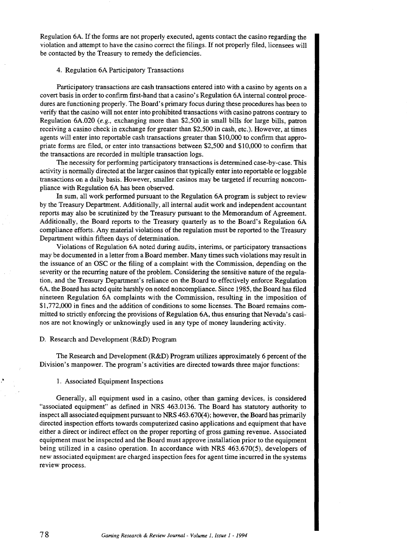Regulation 6A. If the forms are not properly executed, agents contact the casino regarding the violation and attempt to have the casino correct the filings. If not properly filed, licensees will be contacted by the Treasury to remedy the deficiencies.

# 4. Regulation 6A Participatory Transactions

Participatory transactions are cash transactions entered into with a casino by agents on a covert basis in order to confirm first-hand that a casino's Regulation 6A internal control procedures are functioning properly. The Board's primary focus during these procedures has been to verify that the casino will not enter into prohibited transactions with casino patrons contrary to Regulation 6A.020 (e.g., exchanging more than \$2,500 in small bills for large bills, patron receiving a casino check in exchange for greater than \$2,500 in cash, etc.). However, at times agents will enter into reportable cash transactions greater than \$10,000 to confirm that appropriate forms are filed, or enter into transactions between \$2,500 and \$10,000 to confirm that the transactions are recorded in multiple transaction logs.

The necessity for performing participatory transactions is determined case-by-case. This activity is normally directed at the larger casinos that typically enter into reportable or loggable transactions on a daily basis. However, smaller casinos may be targeted if recurring noncompliance with Regulation 6A has been observed.

In sum, all work performed pursuant to the Regulation 6A program is subject to review by the Treasury Department. Additionally, all internal audit work and independent accountant reports may also be scrutinized by the Treasury pursuant to the Memorandum of Agreement. Additionally, the Board reports to the Treasury quarterly as to the Board's Regulation 6A compliance efforts. Any material violations of the regulation must be reported to the Treasury Department within fifteen days of determination.

Violations of Regulation 6A noted during audits, interims, or participatory transactions may be documented in a letter from a Board member. Many times such violations may result in the issuance of an OSC or the filing of a complaint with the Commission, depending on the severity or the recurring nature of the problem. Considering the sensitive nature of the regulation, and the Treasury Department's reliance on the Board to effectively enforce Regulation 6A, the Board has acted quite harshly on noted noncompliance. Since 1985, the Board has filed nineteen Regulation 6A complaints with the Commission, resulting in the imposition of \$1,772,000 in fines and the addition of conditions to some licenses. The Board remains committed to strictly enforcing the provisions of Regulation 6A, thus ensuring that Nevada's casinos are not knowingly or unknowingly used in any type of money laundering activity.

#### D. Research and Development (R&D) Program

The Research and Development (R&D) Program utilizes approximately 6 percent of the Division's manpower. The program's activities are directed towards three major functions:

#### 1. Associated Equipment Inspections

Generally, all equipment used in a casino, other than gaming devices, is considered "associated equipment" as defined in NRS 463.0136. The Board has statutory authority to inspect all associated equipment pursuant to NRS 463.670(4); however, the Board has primarily directed inspection efforts towards computerized casino applications and equipment that have either a direct or indirect effect on the proper reporting of gross gaming revenue. Associated equipment must be inspected and the Board must approve installation prior to the equipment being utilized in a casino operation. In accordance with NRS 463.670(5), developers of new associated equipment are charged inspection fees for agent time incurred in the systems review process.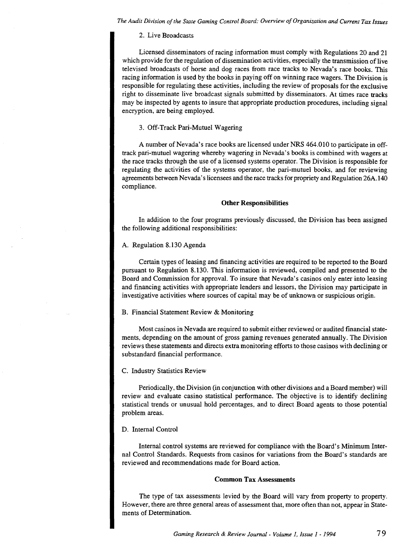*The Audit Division of the State Gaming Control Board: Overview of Organization* and *Current Tax Issues* 

#### 2. Live Broadcasts

Licensed disseminators of racing information must comply with Regulations 20 and 21 which provide for the regulation of dissemination activities, especially the transmission of live televised broadcasts of horse and dog races from race tracks to Nevada's race books. This racing information is used by the books in paying off on winning race wagers. The Division is responsible for regulating these activities, including the review of proposals for the exclusive right to disseminate live broadcast signals submitted by disseminators. At times race tracks may be inspected by agents to insure that appropriate production procedures, including signal encryption, are being employed.

# 3. Off-Track Pari-Mutuel Wagering

A number of Nevada's race books are licensed under NRS 464.010 to participate in offtrack pari-mutuel wagering whereby wagering in Nevada's books is combined with wagers at the race tracks through the use of a licensed systems operator. The Division is responsible for regulating the activities of the systems operator, the pari-mutuel books, and for reviewing agreements between Nevada's licensees and the race tracks for propriety and Regulation 26A.140 compliance.

#### **Other Responsibilities**

In addition to the four programs previously discussed, the Division has been assigned the following additional responsibilities:

# A. Regulation 8.130 Agenda

Certain types of leasing and financing activities are required to be reported to the Board pursuant to Regulation 8.130. This information is reviewed, compiled and presented to the Board and Commission for approval. To insure that Nevada's casinos only enter into leasing and financing activities with appropriate lenders and lessors, the Division may participate in investigative activities where sources of capital may be of unknown or suspicious origin.

#### B. Financial Statement Review & Monitoring

Most casinos in Nevada are required to submit either reviewed or audited financial statements, depending on the amount of gross gaming revenues generated annually. The Division reviews these statements and directs extra monitoring efforts to those casinos with declining or substandard financial performance.

### C. Industry Statistics Review

Periodically, the Division (in conjunction with other divisions and a Board member) will review and evaluate casino statistical performance. The objective is to identify declining statistical trends or unusual hold percentages, and to direct Board agents to those potential problem areas.

#### D. Internal Control

Internal control systems are reviewed for compliance with the Board's Minimum Internal Control Standards. Requests from casinos for variations from the Board's standards are reviewed and recommendations made for Board action.

# **Common** Tax Assessments

The type of tax assessments levied by the Board will vary from property to property. However, there are three general areas of assessment that, more often than not, appear in Statements of Determination.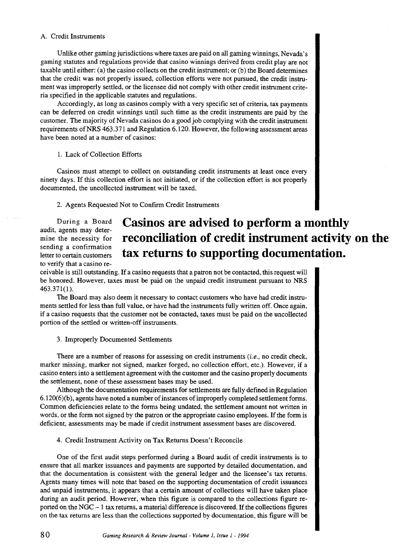# A. Credit Instruments

Unlike other gaming jurisdictions where taxes are paid on all gaming winnings, Nevada's gaming statutes and regulations provide that casino winnings derived from credit play are not taxable until either: (a) the casino collects on the credit instrument; or (b) the Board determines that the credit was not properly issued, collection efforts were not pursued, the credit instrument was improperly settled, or the licensee did not comply with other credit instrument criteria specified in the applicable statutes and regulations.

Accordingly, as long as casinos comply with a very specific set of criteria, tax payments can be deferred on credit winnings until such time as the credit instruments are paid by the customer. The majority of Nevada casinos do a good job complying with the credit instrument requirements ofNRS 463.371 and Regulation 6.120. However, the following assessment areas have been noted at a number of casinos:

1. Lack of Collection Efforts

Casinos must attempt to collect on outstanding credit instruments at least once every ninety days. If this collection effort is not initiated, or if the collection effort is not properly documented, the uncollected instrument will be taxed.

2. Agents Requested Not to Confirm Credit Instruments

During a Board audit, agents may determine the necessity for sending a confirmation letter to certain customers to verify that a casino re-

# **Casinos are advised to perform a monthly reconciliation of credit instrument activity on the tax returns to supporting documentation.**

ceivable is still outstanding. If a casino requests that a patron not be contacted, this request will be honored. However, taxes must be paid on the unpaid credit instrument pursuant to NRS 463.371(1).

The Board may also deem it necessary to contact customers who have had credit instruments settled for less than full value, or have had the instruments fully written off. Once again, if a casino requests that the customer not be contacted, taxes must be paid on the uncollected portion of the settled or written-off instruments.

3. Improperly Documented Settlements

There are a number of reasons for assessing on credit instruments  $(i.e.,$  no credit check, marker missing, marker not signed, marker forged, no collection effort, etc.). However, if a casino enters into a settlement agreement with the customer and the casino properly documents the settlement, none of these assessment bases may be used.

Although the documentation requirements for settlements are fully defined in Regulation 6.120(6)(b), agents have noted a number of instances of improperly completed settlement forms. Common deficiencies relate to the forms being undated, the settlement amount not written in words, or the form not signed by the patron or the appropriate casino employees. If the form is deficient, assessments may be made if credit instrument assessment bases are discovered.

4. Credit Instrument Activity on Tax Returns Doesn't Reconcile

One of the first audit steps performed during a Board audit of credit instruments is to ensure that all marker issuances and payments are supported by detailed documentation, and that the documentation is consistent with the general ledger and the licensee's tax returns. Agents many times will note that based on the supporting documentation of credit issuances and unpaid instruments, it appears that a certain amount of collections will have taken place during an audit period. However, when this figure is compared to the collections figure reported on the NGC- 1 tax returns, a material difference is discovered. If the collections figures on the tax returns are less than the collections supported by documentation, this figure will be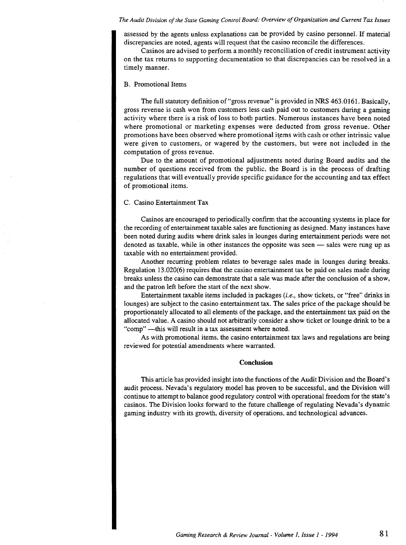#### *The Audit Division of the State Gaming Control Board: Overview of Organization and Current Tax Issues*

assessed by the agents unless explanations can be provided by casino personnel. If material discrepancies are noted, agents will request that the casino reconcile the differences.

Casinos are advised to perform a monthly reconciliation of credit instrument activity on the tax returns to supporting documentation so that discrepancies can be resolved in a timely manner.

# B. Promotional Items

The full statutory definition of"gross revenue" is provided in NRS 463.0161. Basically, gross revenue is cash won from customers less cash paid out to customers during a gaming activity where there is a risk of loss to both parties. Numerous instances have been noted where promotional or marketing expenses were deducted from gross revenue. Other promotions have been observed where promotional items with cash or other intrinsic value were given to customers, or wagered by the customers, but were not included in the computation of gross revenue.

Due to the amount of promotional adjustments noted during Board audits and the number of questions received from the public, the Board is in the process of drafting regulations that will eventually provide specific guidance for the accounting and tax effect of promotional items.

# C. Casino Entertainment Tax

Casinos are encouraged to periodically confirm that the accounting systems in place for the recording of entertainment taxable sales are functioning as designed. Many instances have been noted during audits where drink sales in lounges during entertainment periods were not denoted as taxable, while in other instances the opposite was seen — sales were rung up as taxable with no entertainment provided.

Another recurring problem relates to beverage sales made in lounges during breaks. Regulation 13.020(6) requires that the casino entertainment tax be paid on sales made during breaks unless the casino can demonstrate that a sale was made after the conclusion of a show, and the patron left before the start of the next show.

Entertainment taxable items included in packages (i.e., show tickets, or "free" drinks in lounges) are subject to the casino entertainment tax. The sales price of the package should be proportionately allocated to all elements of the package, and the entertainment tax paid on the allocated value. A casino should not arbitrarily consider a show ticket or lounge drink to be a "comp" -- this will result in a tax assessment where noted.

As with promotional items, the casino entertainment tax laws and regulations are being reviewed for potential amendments where warranted.

#### **Conclusion**

This article has provided insight into the functions of the Audit Division and the Board's audit process. Nevada's regulatory model has proven to be successful, and the Division will continue to attempt to balance good regulatory control with operational freedom for the state's casinos. The Division looks forward to the future challenge of regulating Nevada's dynamic gaming industry with its growth, diversity of operations, and technological advances.